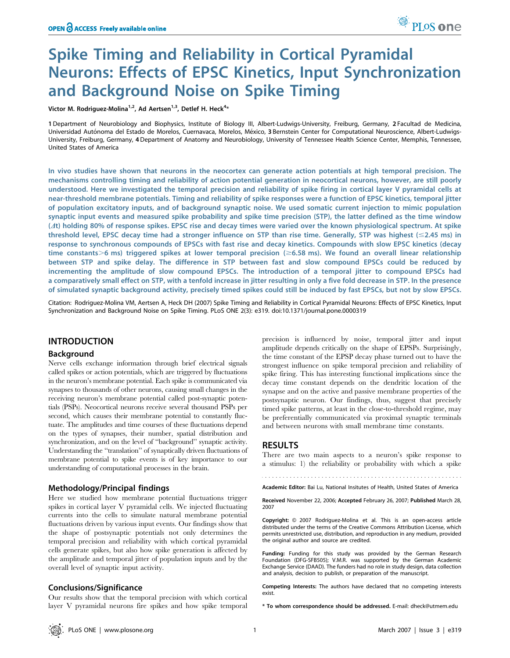# Spike Timing and Reliability in Cortical Pyramidal Neurons: Effects of EPSC Kinetics, Input Synchronization and Background Noise on Spike Timing

Victor M. Rodriguez-Molina<sup>1,2</sup>, Ad Aertsen<sup>1,3</sup>, Detlef H. Heck<sup>4</sup>\*

1Department of Neurobiology and Biophysics, Institute of Biology III, Albert-Ludwigs-University, Freiburg, Germany, 2 Facultad de Medicina, Universidad Autónoma del Estado de Morelos, Cuernavaca, Morelos, México, 3 Bernstein Center for Computational Neuroscience, Albert-Ludwigs-University, Freiburg, Germany, 4Department of Anatomy and Neurobiology, University of Tennessee Health Science Center, Memphis, Tennessee, United States of America

In vivo studies have shown that neurons in the neocortex can generate action potentials at high temporal precision. The mechanisms controlling timing and reliability of action potential generation in neocortical neurons, however, are still poorly understood. Here we investigated the temporal precision and reliability of spike firing in cortical layer V pyramidal cells at near-threshold membrane potentials. Timing and reliability of spike responses were a function of EPSC kinetics, temporal jitter of population excitatory inputs, and of background synaptic noise. We used somatic current injection to mimic population synaptic input events and measured spike probability and spike time precision (STP), the latter defined as the time window ( $\Delta$ t) holding 80% of response spikes. EPSC rise and decay times were varied over the known physiological spectrum. At spike threshold level, EPSC decay time had a stronger influence on STP than rise time. Generally, STP was highest  $(\leq 2.45 \text{ ms})$  in response to synchronous compounds of EPSCs with fast rise and decay kinetics. Compounds with slow EPSC kinetics (decay time constants. $>6$  ms) triggered spikes at lower temporal precision ( $\geq 6.58$  ms). We found an overall linear relationship between STP and spike delay. The difference in STP between fast and slow compound EPSCs could be reduced by incrementing the amplitude of slow compound EPSCs. The introduction of a temporal jitter to compound EPSCs had a comparatively small effect on STP, with a tenfold increase in jitter resulting in only a five fold decrease in STP. In the presence of simulated synaptic background activity, precisely timed spikes could still be induced by fast EPSCs, but not by slow EPSCs.

Citation: Rodriguez-Molina VM, Aertsen A, Heck DH (2007) Spike Timing and Reliability in Cortical Pyramidal Neurons: Effects of EPSC Kinetics, Input Synchronization and Background Noise on Spike Timing. PLoS ONE 2(3): e319. doi:10.1371/journal.pone.0000319

# INTRODUCTION

#### Background

Nerve cells exchange information through brief electrical signals called spikes or action potentials, which are triggered by fluctuations in the neuron's membrane potential. Each spike is communicated via synapses to thousands of other neurons, causing small changes in the receiving neuron's membrane potential called post-synaptic potentials (PSPs). Neocortical neurons receive several thousand PSPs per second, which causes their membrane potential to constantly fluctuate. The amplitudes and time courses of these fluctuations depend on the types of synapses, their number, spatial distribution and synchronization, and on the level of ''background'' synaptic activity. Understanding the ''translation'' of synaptically driven fluctuations of membrane potential to spike events is of key importance to our understanding of computational processes in the brain.

## Methodology/Principal findings

Here we studied how membrane potential fluctuations trigger spikes in cortical layer V pyramidal cells. We injected fluctuating currents into the cells to simulate natural membrane potential fluctuations driven by various input events. Our findings show that the shape of postsynaptic potentials not only determines the temporal precision and reliability with which cortical pyramidal cells generate spikes, but also how spike generation is affected by the amplitude and temporal jitter of population inputs and by the overall level of synaptic input activity.

# Conclusions/Significance

Our results show that the temporal precision with which cortical layer V pyramidal neurons fire spikes and how spike temporal precision is influenced by noise, temporal jitter and input amplitude depends critically on the shape of EPSPs. Surprisingly, the time constant of the EPSP decay phase turned out to have the strongest influence on spike temporal precision and reliability of spike firing. This has interesting functional implications since the decay time constant depends on the dendritic location of the synapse and on the active and passive membrane properties of the postsynaptic neuron. Our findings, thus, suggest that precisely timed spike patterns, at least in the close-to-threshold regime, may be preferentially communicated via proximal synaptic terminals and between neurons with small membrane time constants.

# RESULTS

There are two main aspects to a neuron's spike response to a stimulus: 1) the reliability or probability with which a spike

Academic Editor: Bai Lu, National Insitutes of Health, United States of America

Received November 22, 2006; Accepted February 26, 2007; Published March 28, 2007

Copyright: @ 2007 Rodríguez-Molina et al. This is an open-access article distributed under the terms of the Creative Commons Attribution License, which permits unrestricted use, distribution, and reproduction in any medium, provided the original author and source are credited.

Funding: Funding for this study was provided by the German Research Foundation (DFG-SFB505); V.M.R. was supported by the German Academic Exchange Service (DAAD). The funders had no role in study design, data collection and analysis, decision to publish, or preparation of the manuscript.

Competing Interests: The authors have declared that no competing interests exist.

\* To whom correspondence should be addressed. E-mail: dheck@utmem.edu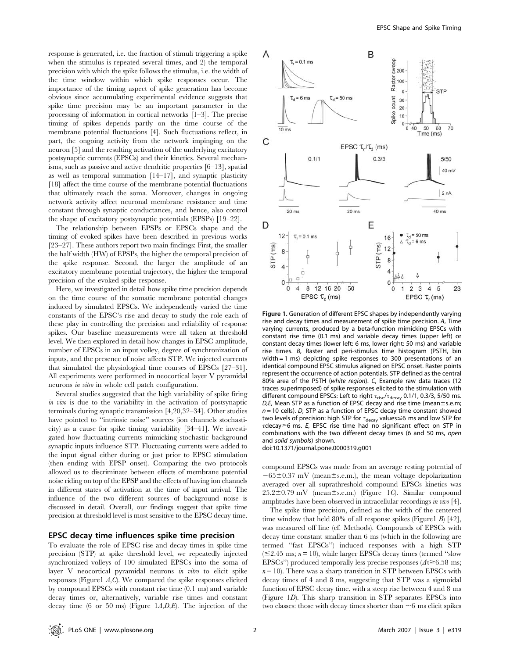response is generated, i.e. the fraction of stimuli triggering a spike when the stimulus is repeated several times, and 2) the temporal precision with which the spike follows the stimulus, i.e. the width of the time window within which spike responses occur. The importance of the timing aspect of spike generation has become obvious since accumulating experimental evidence suggests that spike time precision may be an important parameter in the processing of information in cortical networks [1–3]. The precise timing of spikes depends partly on the time course of the membrane potential fluctuations [4]. Such fluctuations reflect, in part, the ongoing activity from the network impinging on the neuron [5] and the resulting activation of the underlying excitatory postsynaptic currents (EPSCs) and their kinetics. Several mechanisms, such as passive and active dendritic properties [6–13], spatial as well as temporal summation [14–17], and synaptic plasticity [18] affect the time course of the membrane potential fluctuations that ultimately reach the soma. Moreover, changes in ongoing network activity affect neuronal membrane resistance and time constant through synaptic conductances, and hence, also control the shape of excitatory postsynaptic potentials (EPSPs) [19–22].

The relationship between EPSPs or EPSCs shape and the timing of evoked spikes have been described in previous works [23–27]. These authors report two main findings: First, the smaller the half width (HW) of EPSPs, the higher the temporal precision of the spike response. Second, the larger the amplitude of an excitatory membrane potential trajectory, the higher the temporal precision of the evoked spike response.

Here, we investigated in detail how spike time precision depends on the time course of the somatic membrane potential changes induced by simulated EPSCs. We independently varied the time constants of the EPSC's rise and decay to study the role each of these play in controlling the precision and reliability of response spikes. Our baseline measurements were all taken at threshold level. We then explored in detail how changes in EPSC amplitude, number of EPSCs in an input volley, degree of synchronization of inputs, and the presence of noise affects STP. We injected currents that simulated the physiological time courses of EPSCs [27–31]. All experiments were performed in neocortical layer V pyramidal neurons in vitro in whole cell patch configuration.

Several studies suggested that the high variability of spike firing in vivo is due to the variability in the activation of postsynaptic terminals during synaptic transmission [4,20,32–34]. Other studies have pointed to ''intrinsic noise'' sources (ion channels stochasticity) as a cause for spike timing variability [34–41]. We investigated how fluctuating currents mimicking stochastic background synaptic inputs influence STP. Fluctuating currents were added to the input signal either during or just prior to EPSC stimulation (then ending with EPSP onset). Comparing the two protocols allowed us to discriminate between effects of membrane potential noise riding on top of the EPSP and the effects of having ion channels in different states of activation at the time of input arrival. The influence of the two different sources of background noise is discussed in detail. Overall, our findings suggest that spike time precision at threshold level is most sensitive to the EPSC decay time.

## EPSC decay time influences spike time precision

To evaluate the role of EPSC rise and decay times in spike time precision (STP) at spike threshold level, we repeatedly injected synchronized volleys of 100 simulated EPSCs into the soma of layer V neocortical pyramidal neurons *in vitro* to elicit spike responses (Figure1 A,C). We compared the spike responses elicited by compound EPSCs with constant rise time (0.1 ms) and variable decay times or, alternatively, variable rise times and constant decay time (6 or 50 ms) (Figure  $1A, D, E$ ). The injection of the



Figure 1. Generation of different EPSC shapes by independently varying rise and decay times and measurement of spike time precision. A, Time varying currents, produced by a beta-function mimicking EPSCs with constant rise time (0.1 ms) and variable decay times (upper left) or constant decay times (lower left: 6 ms, lower right: 50 ms) and variable rise times. B, Raster and peri-stimulus time histogram (PSTH, bin width = 1 ms) depicting spike responses to 300 presentations of an identical compound EPSC stimulus aligned on EPSC onset. Raster points represent the occurrence of action potentials. STP defined as the central 80% area of the PSTH (white region). C, Example raw data traces (12 traces superimposed) of spike responses elicited to the stimulation with different compound EPSCs: Left to right  $\tau_{\text{rise}}/\tau_{\text{decay}}$  0.1/1, 0.3/3, 5/50 ms.  $D<sub>i</sub>E$ , Mean STP as a function of EPSC decay and rise time (mean  $\pm$  s.e.m;  $n = 10$  cells). D, STP as a function of EPSC decay time constant showed two levels of precision: high STP for  $\tau_{decay}$  values  $\leq$ 6 ms and low STP for  $\tau$ decay $\geq$ 6 ms. E, EPSC rise time had no significant effect on STP in combinations with the two different decay times (6 and 50 ms, open and solid symbols) shown.

doi:10.1371/journal.pone.0000319.g001

compound EPSCs was made from an average resting potential of  $-65\pm0.37$  mV (mean $\pm$ s.e.m.), the mean voltage depolarization averaged over all suprathreshold compound EPSCs kinetics was  $25.2\pm0.79$  mV (mean $\pm$ s.e.m.) (Figure 1C). Similar compound amplitudes have been observed in intracellular recordings in vivo [4].

The spike time precision, defined as the width of the centered time window that held 80% of all response spikes (Figure 1 B) [42], was measured off line (cf. Methods). Compounds of EPSCs with decay time constant smaller than 6 ms (which in the following are termed ''fast EPSCs'') induced responses with a high STP  $(\leq 2.45 \text{ ms}; n = 10)$ , while larger EPSCs decay times (termed "slow EPSCs'') produced temporally less precise responses ( $\Delta t \ge 6.58$  ms;  $n = 10$ ). There was a sharp transition in STP between EPSCs with decay times of 4 and 8 ms, suggesting that STP was a sigmoidal function of EPSC decay time, with a steep rise between 4 and 8 ms (Figure 1D). This sharp transition in STP separates EPSCs into two classes: those with decay times shorter than  $\sim$ 6 ms elicit spikes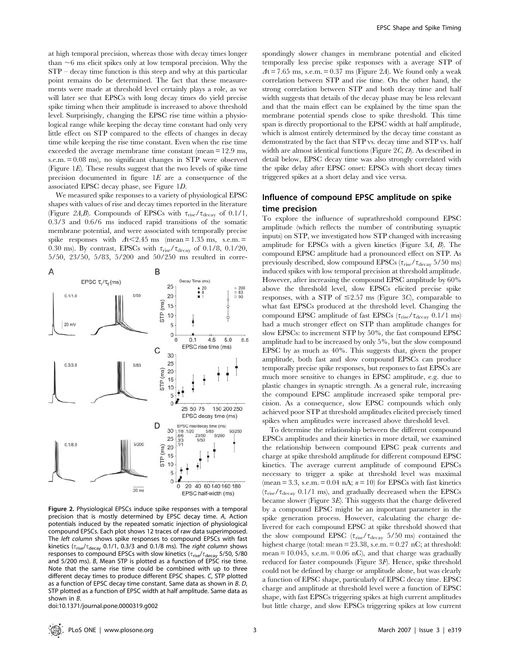at high temporal precision, whereas those with decay times longer than  $\sim$ 6 ms elicit spikes only at low temporal precision. Why the STP – decay time function is this steep and why at this particular point remains do be determined. The fact that these measurements were made at threshold level certainly plays a role, as we will later see that EPSCs with long decay times do yield precise spike timing when their amplitude is increased to above threshold level. Surprisingly, changing the EPSC rise time within a physiological range while keeping the decay time constant had only very little effect on STP compared to the effects of changes in decay time while keeping the rise time constant. Even when the rise time exceeded the average membrane time constant (mean = 12.9 ms, s.e.m. = 0.08 ms), no significant changes in STP were observed (Figure  $1E$ ). These results suggest that the two levels of spike time precision documented in figure  $1E$  are a consequence of the associated EPSC decay phase, see Figure 1D.

We measured spike responses to a variety of physiological EPSC shapes with values of rise and decay times reported in the literature (Figure 2A,B). Compounds of EPSCs with  $\tau_{\text{rise}}/\tau_{\text{decay}}$  of 0.1/1, 0.3/3 and 0.6/6 ms induced rapid transitions of the somatic membrane potential, and were associated with temporally precise spike responses with  $\Delta t < 2.45$  ms (mean = 1.35 ms, s.e.m. = 0.30 ms). By contrast, EPSCs with  $\tau_{\text{rise}}/\tau_{\text{decay}}$  of 0.1/8, 0.1/20, 5/50, 23/50, 5/83, 5/200 and 50/250 ms resulted in corre-



Figure 2. Physiological EPSCs induce spike responses with a temporal precision that is mostly determined by EPSC decay time. A, Action potentials induced by the repeated somatic injection of physiological compound EPSCs. Each plot shows 12 traces of raw data superimposed. The left column shows spike responses to compound EPSCs with fast kinetics ( $\tau_{\text{rise}}/\tau_{\text{decay}}$  0.1/1, 0.3/3 and 0.1/8 ms). The right column shows responses to compound EPSCs with slow kinetics ( $\tau_{\text{rise}}/\tau_{\text{decay}}$  5/50, 5/80 and 5/200 ms). B, Mean STP is plotted as a function of EPSC rise time. Note that the same rise time could be combined with up to three different decay times to produce different EPSC shapes. C, STP plotted as a function of EPSC decay time constant. Same data as shown in B. D, STP plotted as a function of EPSC width at half amplitude. Same data as shown in B.

doi:10.1371/journal.pone.0000319.g002

spondingly slower changes in membrane potential and elicited temporally less precise spike responses with a average STP of  $\Delta t = 7.65$  ms, s.e.m. = 0.37 ms (Figure 2A). We found only a weak correlation between STP and rise time. On the other hand, the strong correlation between STP and both decay time and half width suggests that details of the decay phase may be less relevant and that the main effect can be explained by the time span the membrane potential spends close to spike threshold. This time span is directly proportional to the EPSC width at half amplitude, which is almost entirely determined by the decay time constant as demonstrated by the fact that STP vs. decay time and STP vs. half width are almost identical functions (Figure 2C, D). As described in detail below, EPSC decay time was also strongly correlated with the spike delay after EPSC onset: EPSCs with short decay times triggered spikes at a short delay and vice versa.

# Influence of compound EPSC amplitude on spike time precision

To explore the influence of suprathreshold compound EPSC amplitude (which reflects the number of contributing synaptic inputs) on STP, we investigated how STP changed with increasing amplitude for EPSCs with a given kinetics (Figure 3A, B). The compound EPSC amplitude had a pronounced effect on STP. As previously described, slow compound EPSCs  $(\tau_{\text{rise}}/\tau_{\text{decay}} 5/50 \text{ ms})$ induced spikes with low temporal precision at threshold amplitude. However, after increasing the compound EPSC amplitude by 60% above the threshold level, slow EPSCs elicited precise spike responses, with a STP of  $\leq$ 2.57 ms (Figure 3C), comparable to what fast EPSCs produced at the threshold level. Changing the compound EPSC amplitude of fast EPSCs  $(\tau_{\text{rise}}/\tau_{\text{decay}})$  0.1/1 ms) had a much stronger effect on STP than amplitude changes for slow EPSCs: to increment STP by 50%, the fast compound EPSC amplitude had to be increased by only 5%, but the slow compound EPSC by as much as 40%. This suggests that, given the proper amplitude, both fast and slow compound EPSCs can produce temporally precise spike responses, but responses to fast EPSCs are much more sensitive to changes in EPSC amplitude, e.g. due to plastic changes in synaptic strength. As a general rule, increasing the compound EPSC amplitude increased spike temporal precision. As a consequence, slow EPSC compounds which only achieved poor STP at threshold amplitudes elicited precisely timed spikes when amplitudes were increased above threshold level.

To determine the relationship between the different compound EPSCs amplitudes and their kinetics in more detail, we examined the relationship between compound EPSC peak currents and charge at spike threshold amplitude for different compound EPSC kinetics. The average current amplitude of compound EPSCs necessary to trigger a spike at threshold level was maximal (mean = 3.3, s.e.m. = 0.04 nA;  $n = 10$ ) for EPSCs with fast kinetics  $(\tau_{\text{rise}}/\tau_{\text{decay}})$  0.1/1 ms), and gradually decreased when the EPSCs became slower (Figure 3E). This suggests that the charge delivered by a compound EPSC might be an important parameter in the spike generation process. However, calculating the charge delivered for each compound EPSC at spike threshold showed that the slow compound EPSC  $(\tau_{\text{rise}}/\tau_{\text{decay}})$  5/50 ms) contained the highest charge (total: mean = 23.38, s.e.m. = 0.27 nC; at threshold: mean = 10.045, s.e.m. = 0.06 nC), and that charge was gradually reduced for faster compounds (Figure 3F). Hence, spike threshold could not be defined by charge or amplitude alone, but was clearly a function of EPSC shape, particularly of EPSC decay time. EPSC charge and amplitude at threshold level were a function of EPSC shape, with fast EPSCs triggering spikes at high current amplitudes but little charge, and slow EPSCs triggering spikes at low current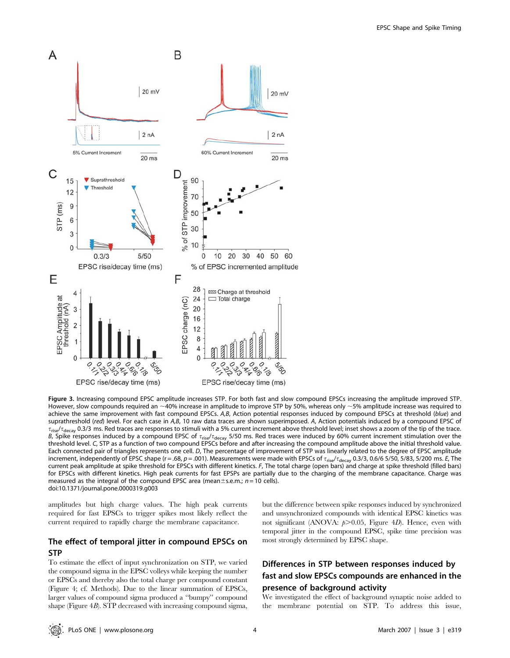

Figure 3. Increasing compound EPSC amplitude increases STP. For both fast and slow compound EPSCs increasing the amplitude improved STP. However, slow compounds required an  $\sim$ 40% increase in amplitude to improve STP by 50%, whereas only  $\sim$ 5% amplitude increase was required to achieve the same improvement with fast compound EPSCs. A,B, Action potential responses induced by compound EPSCs at threshold (blue) and suprathreshold (red) level. For each case in A,B, 10 raw data traces are shown superimposed. A, Action potentials induced by a compound EPSC of  $\tau_{\text{rise}}/\tau_{\text{decay}}$  0.3/3 ms. Red traces are responses to stimuli with a 5% current increment above threshold level; inset shows a zoom of the tip of the trace. *B*, Spike responses induced by a compound EPSC of  $\tau_{\sf rise}/\tau_{\sf decay}$  5/50 ms. Red traces were induced by 60% current increment stimulation over the threshold level. C, STP as a function of two compound EPSCs before and after increasing the compound amplitude above the initial threshold value. Each connected pair of triangles represents one cell. D, The percentage of improvement of STP was linearly related to the degree of EPSC amplitude increment, independently of EPSC shape (r = .68, p = .001). Measurements were made with EPSCs of  $\tau_{\text{rise}}/\tau_{\text{decay}}$  0.3/3, 0.6/6 5/50, 5/83, 5/200 ms. E, The current peak amplitude at spike threshold for EPSCs with different kinetics. F, The total charge (open bars) and charge at spike threshold (filled bars) for EPSCs with different kinetics. High peak currents for fast EPSPs are partially due to the charging of the membrane capacitance. Charge was measured as the integral of the compound EPSC area (mean $\pm$ s.e.m.; n = 10 cells). doi:10.1371/journal.pone.0000319.g003

amplitudes but high charge values. The high peak currents required for fast EPSCs to trigger spikes most likely reflect the current required to rapidly charge the membrane capacitance.

# The effect of temporal jitter in compound EPSCs on **STP**

To estimate the effect of input synchronization on STP, we varied the compound sigma in the EPSC volleys while keeping the number or EPSCs and thereby also the total charge per compound constant (Figure 4; cf. Methods). Due to the linear summation of EPSCs, larger values of compound sigma produced a ''bumpy'' compound shape (Figure 4B). STP decreased with increasing compound sigma,

but the difference between spike responses induced by synchronized and unsynchronized compounds with identical EPSC kinetics was not significant (ANOVA:  $p > 0.05$ , Figure 4D). Hence, even with temporal jitter in the compound EPSC, spike time precision was most strongly determined by EPSC shape.

# Differences in STP between responses induced by fast and slow EPSCs compounds are enhanced in the presence of background activity

We investigated the effect of background synaptic noise added to the membrane potential on STP. To address this issue,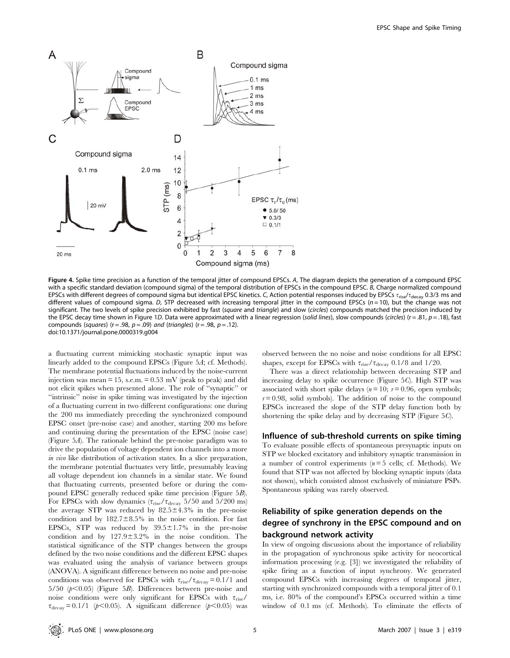

Figure 4. Spike time precision as a function of the temporal jitter of compound EPSCs. A, The diagram depicts the generation of a compound EPSC with a specific standard deviation (compound sigma) of the temporal distribution of EPSCs in the compound EPSC. B, Charge normalized compound EPSCs with different degrees of compound sigma but identical EPSC kinetics. C, Action potential responses induced by EPSCs  $\tau_{\rm rise}/\tau_{\rm decay}$  0.3/3 ms and different values of compound sigma. D, STP decreased with increasing temporal jitter in the compound EPSCs ( $n = 10$ ), but the change was not significant. The two levels of spike precision exhibited by fast (square and triangle) and slow (circles) compounds matched the precision induced by the EPSC decay time shown in Figure 1D. Data were approximated with a linear regression (solid lines), slow compounds (circles) (r = .81, p = .18), fast compounds (squares) (r = .98,  $p = .09$ ) and (triangles) (r = .98,  $p = .12$ ). doi:10.1371/journal.pone.0000319.g004

a fluctuating current mimicking stochastic synaptic input was linearly added to the compound EPSCs (Figure 5A; cf. Methods). The membrane potential fluctuations induced by the noise-current injection was mean  $= 15$ , s.e.m.  $= 0.53$  mV (peak to peak) and did not elicit spikes when presented alone. The role of ''synaptic'' or ''intrinsic'' noise in spike timing was investigated by the injection of a fluctuating current in two different configurations: one during the 200 ms immediately preceding the synchronized compound EPSC onset (pre-noise case) and another, starting 200 ms before and continuing during the presentation of the EPSC (noise case) (Figure 5A). The rationale behind the pre-noise paradigm was to drive the population of voltage dependent ion channels into a more in vivo like distribution of activation states. In a slice preparation, the membrane potential fluctuates very little, presumably leaving all voltage dependent ion channels in a similar state. We found that fluctuating currents, presented before or during the compound EPSC generally reduced spike time precision (Figure 5B). For EPSCs with slow dynamics  $(\tau_{\text{rise}}/\tau_{\text{decay}} 5/50 \text{ and } 5/200 \text{ ms})$ the average STP was reduced by  $82.5 \pm 4.3\%$  in the pre-noise condition and by  $182.7 \pm 8.5\%$  in the noise condition. For fast EPSCs, STP was reduced by  $39.5 \pm 1.7\%$  in the pre-noise condition and by  $127.9 \pm 3.2\%$  in the noise condition. The statistical significance of the STP changes between the groups defined by the two noise conditions and the different EPSC shapes was evaluated using the analysis of variance between groups (ANOVA). A significant difference between no noise and pre-noise conditions was observed for EPSCs with  $\tau_{\text{rise}}/\tau_{\text{decay}} = 0.1/1$  and 5/50  $(p<0.05)$  (Figure 5B). Differences between pre-noise and noise conditions were only significant for EPSCs with  $\tau_{\rm rise}$ /  $\tau_{\text{decay}} = 0.1/1$  ( $p<0.05$ ). A significant difference ( $p<0.05$ ) was observed between the no noise and noise conditions for all EPSC shapes, except for EPSCs with  $\tau_{\rm rise}/\tau_{\rm decay}$  0.1/8 and 1/20.

There was a direct relationship between decreasing STP and increasing delay to spike occurrence (Figure 5C). High STP was associated with short spike delays ( $n = 10$ ;  $r = 0.96$ , open symbols;  $r = 0.98$ , solid symbols). The addition of noise to the compound EPSCs increased the slope of the STP delay function both by shortening the spike delay and by decreasing STP (Figure 5C).

Influence of sub-threshold currents on spike timing To evaluate possible effects of spontaneous presynaptic inputs on STP we blocked excitatory and inhibitory synaptic transmission in a number of control experiments  $(n=5 \text{ cells}; \text{ cf. Methods}).$  We found that STP was not affected by blocking synaptic inputs (data

not shown), which consisted almost exclusively of miniature PSPs.

Spontaneous spiking was rarely observed.

# Reliability of spike generation depends on the degree of synchrony in the EPSC compound and on background network activity

In view of ongoing discussions about the importance of reliability in the propagation of synchronous spike activity for neocortical information processing (e.g. [3]) we investigated the reliability of spike firing as a function of input synchrony. We generated compound EPSCs with increasing degrees of temporal jitter, starting with synchronized compounds with a temporal jitter of 0.1 ms, i.e. 80% of the compound's EPSCs occurred within a time window of 0.1 ms (cf. Methods). To eliminate the effects of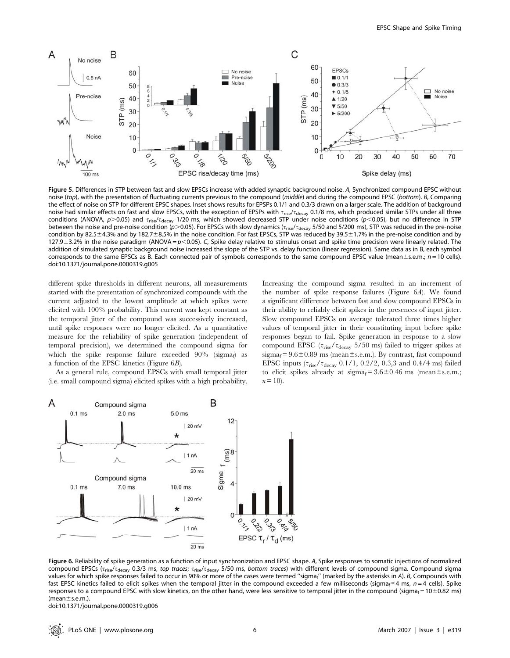

Figure 5. Differences in STP between fast and slow EPSCs increase with added synaptic background noise. A, Synchronized compound EPSC without noise (top), with the presentation of fluctuating currents previous to the compound (middle) and during the compound EPSC (bottom). B, Comparing the effect of noise on STP for different EPSC shapes. Inset shows results for EPSPs 0.1/1 and 0.3/3 drawn on a larger scale. The addition of background noise had similar effects on fast and slow EPSCs, with the exception of EPSPs with  $\tau_{\rm rise}/\tau_{\rm decay}$  0.1/8 ms, which produced similar STPs under all three conditions (ANOVA,  $p > 0.05$ ) and  $\tau_{\text{rise}}/\tau_{\text{decay}}$  1/20 ms, which showed decreased STP under noise conditions ( $p < 0.05$ ), but no difference in STP between the noise and pre-noise condition ( $p > 0.05$ ). For EPSCs with slow dynamics ( $\tau_{\text{rise}}/\tau_{\text{decay}}$  5/50 and 5/200 ms), STP was reduced in the pre-noise condition by 82.5 $\pm$ 4.3% and by 182.7 $\pm$ 8.5% in the noise condition. For fast EPSCs, STP was reduced by 39.5 $\pm$ 1.7% in the pre-noise condition and by  $127.9\pm3.2\%$  in the noise paradigm (ANOVA =  $p$  < 0.05). C, Spike delay relative to stimulus onset and spike time precision were linearly related. The addition of simulated synaptic background noise increased the slope of the STP vs. delay function (linear regression). Same data as in B, each symbol corresponds to the same EPSCs as B. Each connected pair of symbols corresponds to the same compound EPSC value (mean $\pm$ s.e.m.; n = 10 cells). doi:10.1371/journal.pone.0000319.g005

different spike thresholds in different neurons, all measurements started with the presentation of synchronized compounds with the current adjusted to the lowest amplitude at which spikes were elicited with 100% probability. This current was kept constant as the temporal jitter of the compound was successively increased, until spike responses were no longer elicited. As a quantitative measure for the reliability of spike generation (independent of temporal precision), we determined the compound sigma for which the spike response failure exceeded  $90\%$  (sigma<sub>f</sub>) as a function of the EPSC kinetics (Figure 6B).

As a general rule, compound EPSCs with small temporal jitter (i.e. small compound sigma) elicited spikes with a high probability.

Increasing the compound sigma resulted in an increment of the number of spike response failures (Figure 6A). We found a significant difference between fast and slow compound EPSCs in their ability to reliably elicit spikes in the presences of input jitter. Slow compound EPSCs on average tolerated three times higher values of temporal jitter in their constituting input before spike responses began to fail. Spike generation in response to a slow compound EPSC ( $\tau_{\text{rise}}/\tau_{\text{decay}}$  5/50 ms) failed to trigger spikes at sigma<sub>f</sub> =  $9.6\pm0.89$  ms (mean $\pm$ s.e.m.). By contrast, fast compound EPSC inputs  $(\tau_{\text{rise}}/\tau_{\text{decay}} 0.1/1, 0.2/2, 0.3, 3 \text{ and } 0.4/4 \text{ ms})$  failed to elicit spikes already at sigma<sub>f</sub> =  $3.6\pm0.46$  ms (mean $\pm$ s.e.m.;  $n = 10$ ).



Figure 6. Reliability of spike generation as a function of input synchronization and EPSC shape. A, Spike responses to somatic injections of normalized compound EPSCs ( $\tau_{\rm rise}/\tau_{\rm decay}$  0.3/3 ms, top traces;  $\tau_{\rm rise}/\tau_{\rm decay}$  5/50 ms, bottom traces) with different levels of compound sigma. Compound sigma values for which spike responses failed to occur in 90% or more of the cases were termed "sigma<sub>f</sub>" (marked by the asterisks in A). B, Compounds with fast EPSC kinetics failed to elicit spikes when the temporal jitter in the compound exceeded a few milliseconds (sigma $\epsilon \leq 4$  ms, n = 4 cells). Spike responses to a compound EPSC with slow kinetics, on the other hand, were less sensitive to temporal jitter in the compound (sigma $_f$  = 10 $\pm$ 0.82 ms)  $(mean \pm s.e.m.).$ 

doi:10.1371/journal.pone.0000319.g006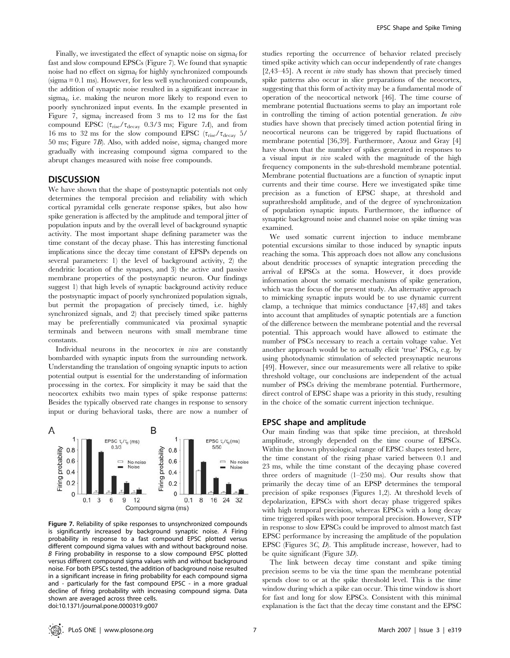Finally, we investigated the effect of synaptic noise on sigma $_f$  for fast and slow compound EPSCs (Figure 7). We found that synaptic noise had no effect on sigma $_f$  for highly synchronized compounds (sigma = 0.1 ms). However, for less well synchronized compounds, the addition of synaptic noise resulted in a significant increase in  $sigma<sub>f</sub>$ , i.e. making the neuron more likely to respond even to poorly synchronized input events. In the example presented in Figure 7, sigma<sub>f</sub> increased from 3 ms to 12 ms for the fast compound EPSC ( $\tau_{\text{rise}}/\tau_{\text{decay}}$  0.3/3 ms; Figure 7A), and from 16 ms to 32 ms for the slow compound EPSC  $(\tau_{\text{rise}}/\tau_{\text{decay}})$  5/ 50 ms; Figure 7B). Also, with added noise, sigma $_f$  changed more gradually with increasing compound sigma compared to the abrupt changes measured with noise free compounds.

## **DISCUSSION**

We have shown that the shape of postsynaptic potentials not only determines the temporal precision and reliability with which cortical pyramidal cells generate response spikes, but also how spike generation is affected by the amplitude and temporal jitter of population inputs and by the overall level of background synaptic activity. The most important shape defining parameter was the time constant of the decay phase. This has interesting functional implications since the decay time constant of EPSPs depends on several parameters: 1) the level of background activity, 2) the dendritic location of the synapses, and 3) the active and passive membrane properties of the postsynaptic neuron. Our findings suggest 1) that high levels of synaptic background activity reduce the postsynaptic impact of poorly synchronized population signals, but permit the propagation of precisely timed, i.e. highly synchronized signals, and 2) that precisely timed spike patterns may be preferentially communicated via proximal synaptic terminals and between neurons with small membrane time constants.

Individual neurons in the neocortex in vivo are constantly bombarded with synaptic inputs from the surrounding network. Understanding the translation of ongoing synaptic inputs to action potential output is essential for the understanding of information processing in the cortex. For simplicity it may be said that the neocortex exhibits two main types of spike response patterns: Besides the typically observed rate changes in response to sensory input or during behavioral tasks, there are now a number of



Figure 7. Reliability of spike responses to unsynchronized compounds is significantly increased by background synaptic noise. A Firing probability in response to a fast compound EPSC plotted versus different compound sigma values with and without background noise. B Firing probability in response to a slow compound EPSC plotted versus different compound sigma values with and without background noise. For both EPSCs tested, the addition of background noise resulted in a significant increase in firing probability for each compound sigma and - particularly for the fast compound EPSC - in a more gradual decline of firing probability with increasing compound sigma. Data shown are averaged across three cells. doi:10.1371/journal.pone.0000319.g007

studies reporting the occurrence of behavior related precisely timed spike activity which can occur independently of rate changes [2,43–45]. A recent in vitro study has shown that precisely timed spike patterns also occur in slice preparations of the neocortex, suggesting that this form of activity may be a fundamental mode of operation of the neocortical network [46]. The time course of membrane potential fluctuations seems to play an important role in controlling the timing of action potential generation. In vitro studies have shown that precisely timed action potential firing in neocortical neurons can be triggered by rapid fluctuations of membrane potential [36,39]. Furthermore, Azouz and Gray [4] have shown that the number of spikes generated in responses to a visual input in vivo scaled with the magnitude of the high frequency components in the sub-threshold membrane potential. Membrane potential fluctuations are a function of synaptic input currents and their time course. Here we investigated spike time precision as a function of EPSC shape, at threshold and suprathreshold amplitude, and of the degree of synchronization of population synaptic inputs. Furthermore, the influence of synaptic background noise and channel noise on spike timing was examined.

We used somatic current injection to induce membrane potential excursions similar to those induced by synaptic inputs reaching the soma. This approach does not allow any conclusions about dendritic processes of synaptic integration preceding the arrival of EPSCs at the soma. However, it does provide information about the somatic mechanisms of spike generation, which was the focus of the present study. An alternative approach to mimicking synaptic inputs would be to use dynamic current clamp, a technique that mimics conductance [47,48] and takes into account that amplitudes of synaptic potentials are a function of the difference between the membrane potential and the reversal potential. This approach would have allowed to estimate the number of PSCs necessary to reach a certain voltage value. Yet another approach would be to actually elicit 'true' PSCs, e.g. by using photodynamic stimulation of selected presynaptic neurons [49]. However, since our measurements were all relative to spike threshold voltage, our conclusions are independent of the actual number of PSCs driving the membrane potential. Furthermore, direct control of EPSC shape was a priority in this study, resulting in the choice of the somatic current injection technique.

#### EPSC shape and amplitude

Our main finding was that spike time precision, at threshold amplitude, strongly depended on the time course of EPSCs. Within the known physiological range of EPSC shapes tested here, the time constant of the rising phase varied between 0.1 and 23 ms, while the time constant of the decaying phase covered three orders of magnitude (1–250 ms). Our results show that primarily the decay time of an EPSP determines the temporal precision of spike responses (Figures 1,2). At threshold levels of depolarization, EPSCs with short decay phase triggered spikes with high temporal precision, whereas EPSCs with a long decay time triggered spikes with poor temporal precision. However, STP in response to slow EPSCs could be improved to almost match fast EPSC performance by increasing the amplitude of the population EPSC (Figures 3C, D). This amplitude increase, however, had to be quite significant (Figure 3D).

The link between decay time constant and spike timing precision seems to be via the time span the membrane potential spends close to or at the spike threshold level. This is the time window during which a spike can occur. This time window is short for fast and long for slow EPSCs. Consistent with this minimal explanation is the fact that the decay time constant and the EPSC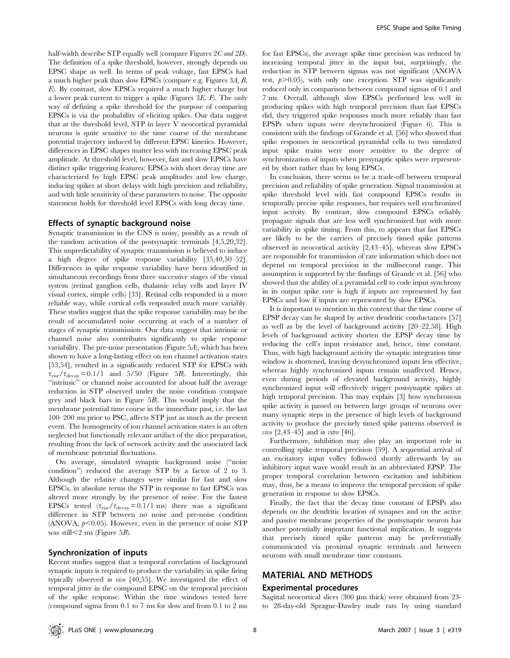half-width describe STP equally well (compare Figures 2C and 2D). The definition of a spike threshold, however, strongly depends on EPSC shape as well. In terms of peak voltage, fast EPSCs had a much higher peak than slow EPSCs (compare e.g. Figures 3A, B, E). By contrast, slow EPSCs required a much higher charge but a lower peak current to trigger a spike (Figures 3E, F). The only way of defining a spike threshold for the purpose of comparing EPSCs is via the probability of eliciting spikes. Our data suggest that at the threshold level, STP in layer V neocortical pyramidal neurons is quite sensitive to the time course of the membrane potential trajectory induced by different EPSC kinetics. However, differences in EPSC shapes matter less with increasing EPSC peak amplitude. At threshold level, however, fast and slow EPSCs have distinct spike triggering features: EPSCs with short decay time are characterized by high EPSC peak amplitudes and low charge, inducing spikes at short delays with high precision and reliability, and with little sensitivity of these parameters to noise. The opposite statement holds for threshold level EPSCs with long decay time.

#### Effects of synaptic background noise

Synaptic transmission in the CNS is noisy, possibly as a result of the random activation of the postsynaptic terminals [4,5,20,32]. This unpredictability of synaptic transmission is believed to induce a high degree of spike response variability [35,40,50–52]. Differences in spike response variability have been identified in simultaneous recordings from three successive stages of the visual system (retinal ganglion cells, thalamic relay cells and layer IV visual cortex, simple cells) [33]. Retinal cells responded in a more reliable way, while cortical cells responded much more variably. These studies suggest that the spike response variability may be the result of accumulated noise occurring at each of a number of stages of synaptic transmission. Our data suggest that intrinsic or channel noise also contributes significantly to spike response variability. The pre-noise presentation (Figure 5A), which has been shown to have a long-lasting effect on ion channel activation states [53,54], resulted in a significantly reduced STP for EPSCs with  $\tau_{\text{rise}}/\tau_{\text{decay}} = 0.1/1$  and 5/50 (Figure 5*B*). Interestingly, this "intrinsic" or channel noise accounted for about half the average reduction in STP observed under the noise condition (compare grey and black bars in Figure 5B). This would imply that the membrane potential time course in the immediate past, i.e. the last 100–200 ms prior to PSC, affects STP just as much as the present event. The homogeneity of ion channel activation states is an often neglected but functionally relevant artifact of the slice preparation, resulting from the lack of network activity and the associated lack of membrane potential fluctuations.

On average, simulated synaptic background noise (''noise condition'') reduced the average STP by a factor of 2 to 3. Although the relative changes were similar for fast and slow EPSCs, in absolute terms the STP in response to fast EPSCs was altered more strongly by the presence of noise. For the fastest EPSCs tested  $(\tau_{\text{rise}}/\tau_{\text{decay}}=0.1/1 \text{ ms})$  there was a significant difference in STP between no noise and pre-noise condition (ANOVA,  $p<0.05$ ). However, even in the presence of noise STP was still $\leq$ 2 ms (Figure 5*B*).

## Synchronization of inputs

Recent studies suggest that a temporal correlation of background synaptic inputs is required to produce the variability in spike firing typically observed in vivo [40,55]. We investigated the effect of temporal jitter in the compound EPSC on the temporal precision of the spike response. Within the time windows tested here (compound sigma from 0.1 to 7 ms for slow and from 0.1 to 2 ms

for fast EPSCs), the average spike time precision was reduced by increasing temporal jitter in the input but, surprisingly, the reduction in STP between sigmas was not significant (ANOVA test,  $p > 0.05$ ), with only one exception. STP was significantly reduced only in comparison between compound sigmas of 0.1 and 7 ms. Overall, although slow EPSCs performed less well in producing spikes with high temporal precision than fast EPSCs did, they triggered spike responses much more reliably than fast EPSPs when inputs were desynchronized (Figure 6). This is consistent with the findings of Grande et al. [56] who showed that spike responses in neocortical pyramidal cells to two simulated input spike trains were more sensitive to the degree of synchronization of inputs when presynaptic spikes were represented by short rather than by long EPSCs.

In conclusion, there seems to be a trade-off between temporal precision and reliability of spike generation. Signal transmission at spike threshold level with fast compound EPSCs results in temporally precise spike responses, but requires well synchronized input activity. By contrast, slow compound EPSCs reliably propagate signals that are less well synchronized but with more variability in spike timing. From this, to appears that fast EPSCs are likely to be the carriers of precisely timed spike patterns observed in neocortical activity [2,43–45], whereas slow EPSCs are responsible for transmission of rate information which does not depend on temporal precision in the millisecond range. This assumption is supported by the findings of Grande et al. [56] who showed that the ability of a pyramidal cell to code input synchrony in its output spike rate is high if inputs are represented by fast EPSCs and low if inputs are represented by slow EPSCs.

It is important to mention in this context that the time course of EPSP decay can be shaped by active dendritic conductances [57] as well as by the level of background activity [20–22,58]. High levels of background activity shorten the EPSP decay time by reducing the cell's input resistance and, hence, time constant. Thus, with high background activity the synaptic integration time window is shortened, leaving desynchronized inputs less effective, whereas highly synchronized inputs remain unaffected. Hence, even during periods of elevated background activity, highly synchronized input will effectively trigger postsynaptic spikes at high temporal precision. This may explain [3] how synchronous spike activity is passed on between large groups of neurons over many synaptic steps in the presence of high levels of background activity to produce the precisely timed spike patterns observed in vivo [2,43–45] and in vitro [46].

Furthermore, inhibition may also play an important role in controlling spike temporal precision [59]. A sequential arrival of an excitatory input volley followed shortly afterwards by an inhibitory input wave would result in an abbreviated EPSP. The proper temporal correlation between excitation and inhibition may, thus, be a means to improve the temporal precision of spike generation in response to slow EPSCs.

Finally, the fact that the decay time constant of EPSPs also depends on the dendritic location of synapses and on the active and passive membrane properties of the postsynaptic neuron has another potentially important functional implication. It suggests that precisely timed spike patterns may be preferentially communicated via proximal synaptic terminals and between neurons with small membrane time constants.

# MATERIAL AND METHODS

#### Experimental procedures

Sagittal neocortical slices  $(300 \mu m)$  thick) were obtained from 23to 28-day-old Sprague-Dawley male rats by using standard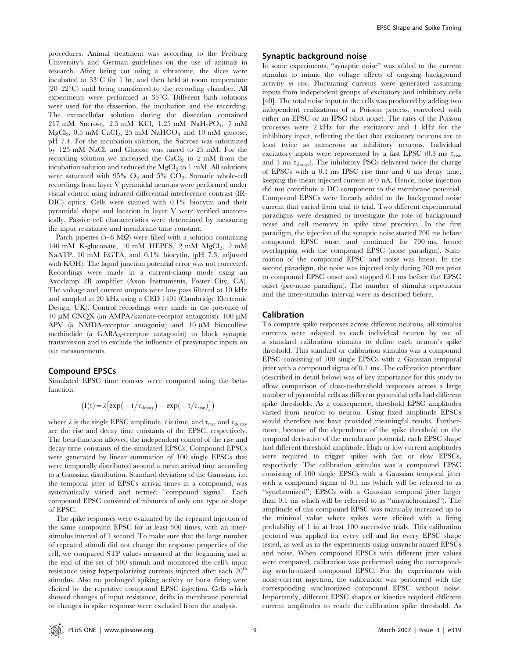procedures. Animal treatment was according to the Freiburg University's and German guidelines on the use of animals in research. After being cut using a vibratome, the slices were incubated at  $33^{\circ}$ C for 1 hr, and then held at room temperature  $(20-22^{\circ}\text{C})$  until being transferred to the recording chamber. All experiments were performed at  $35^{\circ}$ C. Different bath solutions were used for the dissection, the incubation and the recording. The extracellular solution during the dissection contained 217 mM Sucrose, 2.5 mM KCl, 1.25 mM NaH<sub>2</sub>PO<sub>4</sub>, 7 mM  $MgCl<sub>2</sub>$ , 0.5 mM CaCl<sub>2</sub>, 25 mM NaHCO<sub>3</sub> and 10 mM glucose, pH 7.4. For the incubation solution, the Sucrose was substituted by 125 mM NaCl, and Glucose was raised to 25 mM. For the recording solution we increased the CaCl<sub>2</sub> to 2 mM from the incubation solution and reduced the  $MgCl<sub>2</sub>$  to 1 mM. All solutions were saturated with  $95\%$  O<sub>2</sub> and  $5\%$  CO<sub>2</sub>. Somatic whole-cell recordings from layer V pyramidal neurons were performed under visual control using infrared differential interference contrast (IR-DIC) optics. Cells were stained with 0.1% biocytin and their pyramidal shape and location in layer V were verified anatomically. Passive cell characteristics were determined by measuring the input resistance and membrane time constant.

Patch pipettes (5–8  $\text{M}\Omega$ ) were filled with a solution containing 140 mM K-gluconate, 10 mM HEPES, 2 mM  $MgCl<sub>2</sub>$ , 2 mM NaATP, 10 mM EGTA, and 0.1% biocytin, (pH 7.3, adjusted with KOH). The liquid junction potential error was not corrected. Recordings were made in a current-clamp mode using an Axoclamp 2B amplifier (Axon Instruments, Foster City, CA). The voltage and current outputs were low pass filtered at 10 kHz and sampled at 20 kHz using a CED 1401 (Cambridge Electronic Design, UK). Control recordings were made in the presence of 10 μM CNQX (an AMPA/kainate-receptor antagonist). 100 μM APV (a NMDA-receptor antagonist) and  $10 \mu M$  bicuculline methiodide (a  $GABA_A$ -receptor antagonist) to block synaptic transmission and to exclude the influence of presynaptic inputs on our measurements.

#### Compound EPSCs

Simulated EPSC time courses were computed using the betafunction:

$$
(I(t) = \lambda \left[ exp(-t/\tau_{decay}) - exp(-t/\tau_{rise}) \right])
$$

where  $\lambda$  is the single EPSC amplitude, t is time, and  $\tau_{\text{rise}}$  and  $\tau_{\text{decay}}$ are the rise and decay time constants of the EPSC, respectively. The beta-function allowed the independent control of the rise and decay time constants of the simulated EPSCs. Compound EPSCs were generated by linear summation of 100 single EPSCs that were temporally distributed around a mean arrival time according to a Gaussian distribution. Standard deviation of the Gaussian, i.e. the temporal jitter of EPSCs arrival times in a compound, was systematically varied and termed ''compound sigma''. Each compound EPSC consisted of mixtures of only one type or shape of EPSC.

The spike responses were evaluated by the repeated injection of the same compound EPSC for at least 500 times, with an interstimulus interval of 1 second. To make sure that the large number of repeated stimuli did not change the response properties of the cell, we compared STP values measured at the beginning and at the end of the set of 500 stimuli and monitored the cell's input resistance using hyperpolarizing currents injected after each  $20<sup>th</sup>$ stimulus. Also no prolonged spiking activity or burst firing were elicited by the repetitive compound EPSC injection. Cells which showed changes of input resistance, drifts in membrane potential or changes in spike response were excluded from the analysis.

#### Synaptic background noise

In some experiments, ''synaptic noise'' was added to the current stimulus to mimic the voltage effects of ongoing background activity in vivo. Fluctuating currents were generated assuming inputs from independent groups of excitatory and inhibitory cells [40]. The total noise input to the cells was produced by adding two independent realizations of a Poisson process, convolved with either an EPSC or an IPSC (shot noise). The rates of the Poisson processes were 2 kHz for the excitatory and 1 kHz for the inhibitory input, reflecting the fact that excitatory neurons are at least twice as numerous as inhibitory neurons. Individual excitatory inputs were represented by a fast EPSC (0.3 ms  $\tau_{\text{rise}}$ and 3 ms  $\tau_{\text{decay}}$ ). The inhibitory PSCs delivered twice the charge of EPSCs with a 0.1 ms IPSC rise time and 6 ms decay time, keeping the mean injected current at 0 nA. Hence, noise injection did not contribute a DC component to the membrane potential. Compound EPSCs were linearly added to the background noise current that varied from trial to trial. Two different experimental paradigms were designed to investigate the role of background noise and cell memory in spike time precision. In the first paradigm, the injection of the synaptic noise started 200 ms before compound EPSC onset and continued for 700 ms, hence overlapping with the compound EPSC (noise paradigm). Summation of the compound EPSC and noise was linear. In the second paradigm, the noise was injected only during 200 ms prior to compound EPSC onset and stopped 0.1 ms before the EPSC onset (pre-noise paradigm). The number of stimulus repetitions and the inter-stimulus interval were as described before.

#### Calibration

To compare spike responses across different neurons, all stimulus currents were adapted to each individual neuron by use of a standard calibration stimulus to define each neuron's spike threshold. This standard or calibration stimulus was a compound EPSC consisting of 100 single EPSCs with a Gaussian temporal jitter with a compound sigma of 0.1 ms. The calibration procedure (described in detail below) was of key importance for this study to allow comparison of close-to-threshold responses across a large number of pyramidal cells as different pyramidal cells had different spike thresholds. As a consequence, threshold EPSC amplitudes varied from neuron to neuron. Using fixed amplitude EPSCs would therefore not have provided meaningful results. Furthermore, because of the dependence of the spike threshold on the temporal derivative of the membrane potential, each EPSC shape had different threshold amplitude. High or low current amplitudes were required to trigger spikes with fast or slow EPSCs, respectively. The calibration stimulus was a compound EPSC consisting of 100 single EPSCs with a Gaussian temporal jitter with a compound sigma of 0.1 ms (which will be referred to as "synchronized"; EPSCs with a Gaussian temporal jitter larger than 0.1 ms which will be referred to as ''unsynchronized''). The amplitude of this compound EPSC was manually increased up to the minimal value where spikes were elicited with a firing probability of 1 in at least 100 successive trials. This calibration protocol was applied for every cell and for every EPSC shape tested, as well as in the experiments using unsynchronized EPSCs and noise. When compound EPSCs with different jitter values were compared, calibration was performed using the corresponding synchronized compound EPSC. For the experiments with noise-current injection, the calibration was performed with the corresponding synchronized compound EPSC without noise. Importantly, different EPSC shapes or kinetics required different current amplitudes to reach the calibration spike threshold. As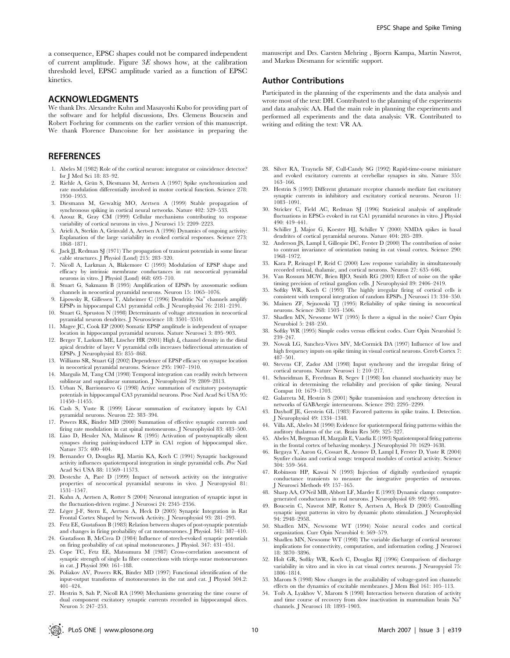a consequence, EPSC shapes could not be compared independent of current amplitude. Figure  $3E$  shows how, at the calibration threshold level, EPSC amplitude varied as a function of EPSC kinetics.

# ACKNOWLEDGMENTS

We thank Drs. Alexandre Kuhn and Masayoshi Kubo for providing part of the software and for helpful discussions, Drs. Clemens Boucsein and Robert Foehring for comments on the earlier version of this manuscript. We thank Florence Dancoisne for her assistance in preparing the

# **REFERENCES**

- 1. Abeles M (1982) Role of the cortical neuron: integrator or coincidence detector? Isr J Med Sci 18: 83–92.
- 2. Riehle A, Grün S, Diesmann M, Aertsen A (1997) Spike synchronization and rate modulation differentially involved in motor cortical function. Science 278: 1950–1953.
- 3. Diesmann M, Gewaltig MO, Aertsen A (1999) Stable propagation of synchronous spiking in cortical neural networks. Nature 402: 529–533.
- 4. Azouz R, Gray CM (1999) Cellular mechanisms contributing to response variability of cortical neurons in vivo. J Neurosci 15: 2209–2223.
- 5. Arieli A, Sterkin A, Grinvald A, Aertsen A (1996) Dynamics of ongoing activity: Explanation of the large variability in evoked cortical responses. Science 273: 1868–1871.
- 6. Jack JJ, Redman SJ (1971) The propagation of transient potentials in some linear cable structures. J Physiol (Lond) 215: 283–320.
- 7. Nicoll A, Larkman A, Blakemore C (1993) Modulation of EPSP shape and efficacy by intrinsic membrane conductances in rat neocortical pyramidal neurons in vitro. J Physiol (Lond) 468: 693–710.
- 8. Stuart G, Sakmann B (1995) Amplification of EPSPs by axosomatic sodium channels in neocortical pyramidal neurons. Neuron 15: 1065–1076.
- 9. Lipowsky R, Gillessen T, Alzheimer C (1996) Dendritic Na<sup>+</sup> channels amplify EPSPs in hippocampal CA1 pyramidal cells. J Neurophysiol 76: 2181–2191.
- 10. Stuart G, Spruston N (1998) Determinants of voltage attenuation in neocortical pyramidal neuron dendrites. J Neuroscience 18: 3501–3510.
- 11. Magee JC, Cook EP (2000) Somatic EPSP amplitude is independent of synapse location in hippocampal pyramidal neurons. Nature Neurosci 3: 895–903.
- 12. Berger T, Larkum ME, Lüscher HR (2001) High  $I<sub>h</sub>$  channel density in the distal apical dendrite of layer V pyramidal cells increases bidirectional attenuation of EPSPs. J Neurophysiol 85: 855–868.
- 13. Williams SR, Stuart GJ (2002) Dependence of EPSP efficacy on synapse location in neocortical pyramidal neurons. Science 295: 1907–1910.
- 14. Margulis M, Tang CM (1998) Temporal integration can readily switch between sublinear and supralinear summation. J Neurophysiol 79: 2809–2813.
- 15. Urban N, Barrionuevo G (1998) Active summation of excitatory postsynaptic potentials in hippocampal CA3 pyramidal neurons. Proc Natl Acad Sci USA 95: 11450–11455.
- 16. Cash S, Yuste R (1999) Linear summation of excitatory inputs by CA1 pyramidal neurons. Neuron 22: 383–394.
- 17. Powers RK, Binder MD (2000) Summation of effective synaptic currents and firing rate modulation in cat spinal motoneurons. J Neurophysiol 83: 483–500.
- 18. Liao D, Hessler NA, Malinow R (1995) Activation of postsynaptically silent synapses during pairing-induced LTP in CA1 region of hippocampal slice. Nature 375: 400–404.
- 19. Bernander O, Douglas RJ, Martin KA, Koch C (1991) Synaptic background activity influences spatiotemporal integration in single pyramidal cells. Proc Natl Acad Sci USA 88: 11569–11573.
- 20. Destexhe A, Pare´ D (1999) Impact of network activity on the integrative properties of neocortical pyramidal neurons in vivo. J Neuropysiol 81: 1531–1547.
- 21. Kuhn A, Aertsen A, Rotter S (2004) Neuronal integration of synaptic input in the fluctuation-driven regime. J Neurosci 24: 2345–2356.
- 22. Léger J-F, Stern E, Aertsen A, Heck D (2005) Synaptic Integration in Rat Frontal Cortex Shaped by Network Activity. J Neurophysiol 93: 281–293.
- 23. Fetz EE, Gustafsson B (1983) Relation between shapes of post-synaptic potentials and changes in firing probability of cat motoneurones. J Physiol. 341: 387–410.
- 24. Gustafsson B, McCrea D (1984) Influence of strech-evoked synaptic potentials on firing probability of cat spinal motoneurones. J Physiol. 347: 431–451.
- 25. Cope TC, Fetz EE, Matsumura M (1987) Cross-correlation assessment of synaptic strength of single Ia fibre connections with triceps surae motoneurones in cat. J Physiol 390: 161–188.
- 26. Poliakov AV, Powers RK, Binder MD (1997) Functional identification of the input-output transforms of motoneurones in the rat and cat. J Physiol 504.2: 401–424.
- 27. Hestrin S, Sah P, Nicoll RA (1990) Mechanisms generating the time course of dual component excitatory synaptic currents recorded in hippocampal slices. Neuron 5: 247–253.

manuscript and Drs. Carsten Mehring , Bjoern Kampa, Martin Nawrot, and Markus Diesmann for scientific support.

# Author Contributions

Participated in the planning of the experiments and the data analysis and wrote most of the text: DH. Contributed to the planning of the experiments and data analysis: AA. Had the main role in planning the experiments and performed all experiments and the data analysis: VR. Contributed to writing and editing the text: VR AA.

- 28. Silver RA, Traynelis SF, Cull-Candy SG (1992) Rapid-time-course miniature and evoked excitatory currents at cerebellar synapses in situ. Nature 355: 163–166.
- 29. Hestrin S (1993) Different glutamate receptor channels mediate fast excitatory synaptic currents in inhibitory and excitatory cortical neurons. Neuron 11: 1083–1091.
- 30. Stricker C, Field AC, Redman SJ (1996) Statistical analysis of amplitude fluctuations in EPSCs evoked in rat CA1 pyramidal neurones in vitro. J Physiol 490: 419–441.
- 31. Schiller J, Major G, Koester HJ, Schiller Y (2000) NMDA spikes in basal dendrites of cortical pyramidal neurons. Nature 404: 285–289.
- 32. Anderson JS, Lampl I, Gillespie DC, Ferster D (2000) The contribution of noise to contrast invariance of orientation tuning in cat visual cortex. Science 290: 1968–1972.
- 33. Kara P, Reinagel P, Reid C (2000) Low response variability in simultaneously recorded retinal, thalamic, and cortical neurons. Neuron 27: 635–646.
- 34. Van Rossum MCW, Brien BJO, Smith RG (2003) Effect of noise on the spike timing precision of retinal ganglion cells. J Neurophysiol 89: 2406–2419.
- 35. Softky WR, Koch C (1993) The highly irregular firing of cortical cells is consistent with temporal integration of random EPSPs. J Neurosci 13: 334–350.
- 36. Mainen ZF, Sejnowski TJ (1995) Reliability of spike timing in neocortical neurons. Science 268: 1503–1506.
- 37. Shadlen MN, Newsome WT (1995) Is there a signal in the noise? Curr Opin Neurobiol 5: 248–250.
- 38. Softky WR (1995) Simple codes versus efficient codes. Curr Opin Neurobiol 5: 239–247.
- 39. Nowak LG, Sanchez-Vives MV, McCormick DA (1997) Influence of low and high frequency inputs on spike timing in visual cortical neurons. Cereb Cortex 7: 487–501.
- 40. Stevens CF, Zador AM (1998) Input synchrony and the irregular firing of cortical neurons. Nature Neurosci 1: 210–217.
- 41. Schneidman E, Freedman B, Segev I (1998) Ion channel stochasticity may be critical in determining the reliability and precision of spike timing. Neural Comput 10: 1679–1703.
- 42. Galarreta M, Hestrin S (2001) Spike transmission and synchrony detection in networks of GABAergic interneurons. Science 292: 2295–2299.
- 43. Dayhoff JE, Gerstein GL (1983) Favored patterns in spike trains. I. Detection. J Neurophysiol 49: 1334–1348.
- 44. Villa AE, Abeles M (1990) Evidence for spatiotemporal firing patterns within the auditory thalamus of the cat. Brain Res 509: 325–327.
- 45. Abeles M, Bergman H, Margalit E, Vaadia E (1993) Spatiotemporal firing patterns in the frontal cortex of behaving monkeys. J Neurophysiol 70: 1629–1638.
- 46. Ikegaya Y, Aaron G, Cossart R, Aronov D, Lampl I, Ferster D, Yuste R (2004) Synfire chains and cortical songs: temporal modules of cortical activity. Science 304: 559–564.
- 47. Robinson HP, Kawai N (1993) Injection of digitally synthesized synaptic conductance transients to measure the integrative properties of neurons. J Neurosci Methods 49: 157–165.
- 48. Sharp AA, O'Neil MB, Abbott LF, Marder E (1993) Dynamic clamp: computergenerated conductances in real neurons. J Neurophysiol 69: 992–995.
- 49. Boucsein C, Nawrot MP, Rotter S, Aertsen A, Heck D (2005) Controlling synaptic input patterns in vitro by dynamic photo stimulation. J Neurophysiol 94: 2948–2958.
- 50. Shadlen MN, Newsome WT (1994) Noise neural codes and cortical organization. Curr Opin Neurobiol 4: 569–579.
- 51. Shadlen MN, Newsome WT (1998) The variable discharge of cortical neurons: implications for connectivity, computation, and information coding. J Neurosci 18: 3870–3896.
- 52. Holt GR, Softky WR, Koch C, Douglas RJ (1996) Comparison of discharge variability in vitro and in vivo in cat visual cortex neurons. J Neuropysiol 75: 1806–1814.
- 53. Marom S (1998) Slow changes in the availability of voltage-gated ion channels: effects on the dynamics of excitable membranes. J Mem Biol 161: 105–113.
- 54. Toib A, Lyakhov V, Marom S (1998) Interaction between duration of activity and time course of recovery from slow inactivation in mammalian brain Na<sup>+</sup> channels. J Neurosci 18: 1893–1903.